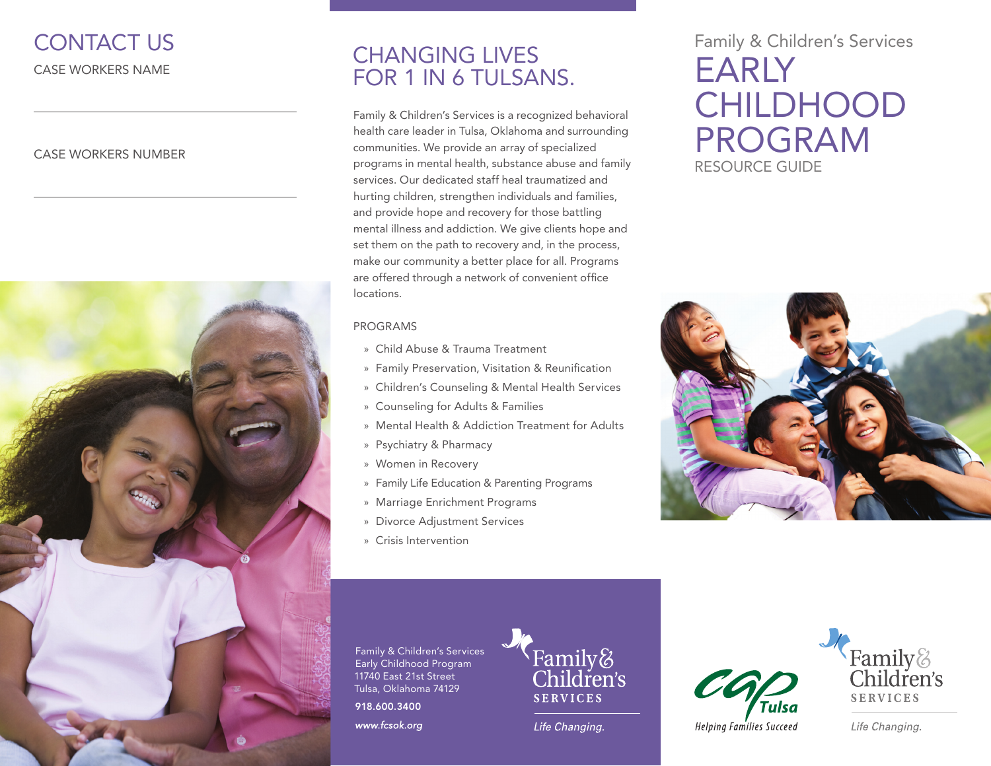# CONTACT US

CASE WORKERS NAME

#### CASE WORKERS NUMBER



## CHANGING LIVES FOR 1 IN 6 TULSANS.

Family & Children's Services is a recognized behavioral health care leader in Tulsa, Oklahoma and surrounding communities. We provide an array of specialized programs in mental health, substance abuse and family services. Our dedicated staff heal traumatized and hurting children, strengthen individuals and families, and provide hope and recovery for those battling mental illness and addiction. We give clients hope and set them on the path to recovery and, in the process, make our community a better place for all. Programs are offered through a network of convenient office locations.

#### PROGRAMS

- » Child Abuse & Trauma Treatment
- » Family Preservation, Visitation & Reunification
- » Children's Counseling & Mental Health Services
- » Counseling for Adults & Families
- » Mental Health & Addiction Treatment for Adults
- » Psychiatry & Pharmacy
- » Women in Recovery
- » Family Life Education & Parenting Programs
- » Marriage Enrichment Programs
- » Divorce Adjustment Services
- » Crisis Intervention

# Family & Children's Services **EARLY CHILDHOOD** PROGRAM RESOURCE GUIDE





918.600.3400

*www.fcsok.org*



Life Changing.





**Helping Families Succeed** 

Life Changing.